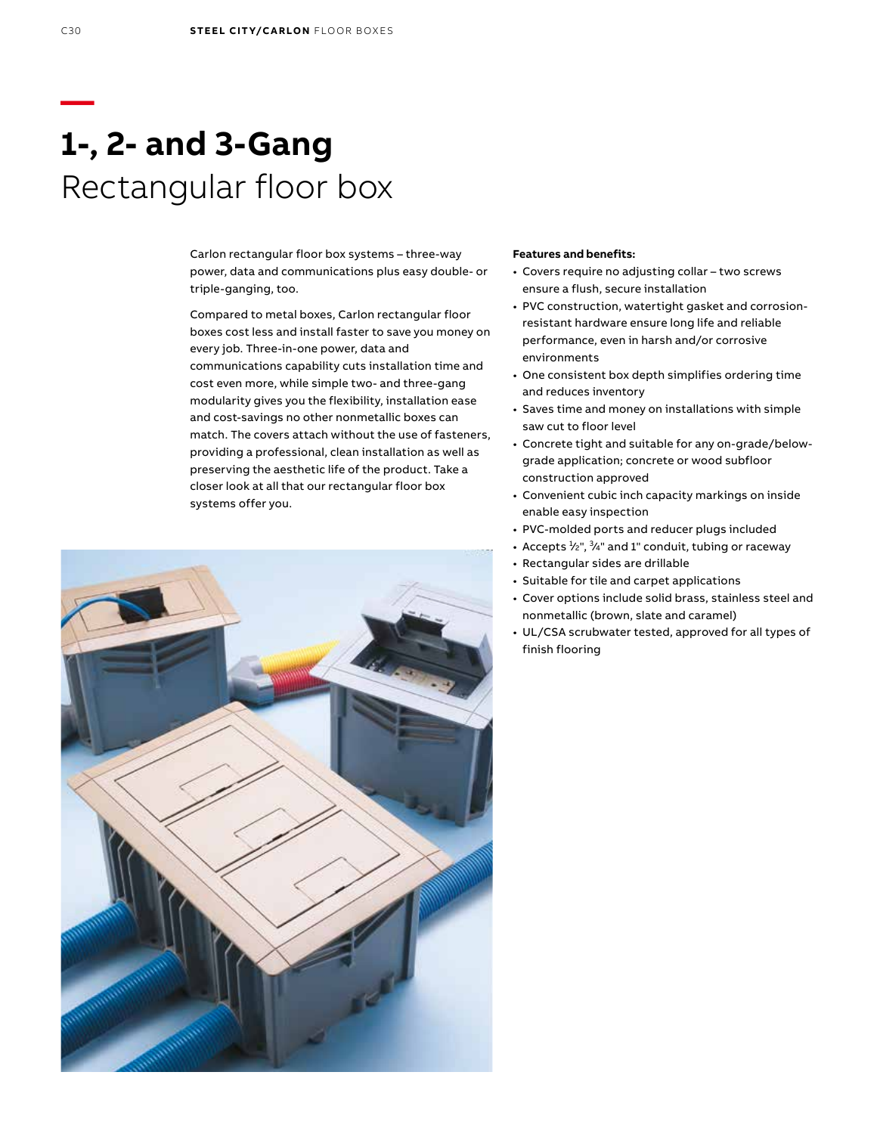# **1-, 2- and 3-Gang** Rectangular floor box

Carlon rectangular floor box systems – three-way power, data and communications plus easy double- or triple-ganging, too.

Compared to metal boxes, Carlon rectangular floor boxes cost less and install faster to save you money on every job. Three-in-one power, data and communications capability cuts installation time and cost even more, while simple two- and three-gang modularity gives you the flexibility, installation ease and cost-savings no other nonmetallic boxes can match. The covers attach without the use of fasteners, providing a professional, clean installation as well as preserving the aesthetic life of the product. Take a closer look at all that our rectangular floor box systems offer you.



#### **Features and benefits:**

- Covers require no adjusting collar two screws ensure a flush, secure installation
- PVC construction, watertight gasket and corrosionresistant hardware ensure long life and reliable performance, even in harsh and/or corrosive environments
- One consistent box depth simplifies ordering time and reduces inventory
- Saves time and money on installations with simple saw cut to floor level
- Concrete tight and suitable for any on-grade/belowgrade application; concrete or wood subfloor construction approved
- Convenient cubic inch capacity markings on inside enable easy inspection
- PVC-molded ports and reducer plugs included
- Accepts  $\frac{1}{2}$ ",  $\frac{3}{4}$ " and 1" conduit, tubing or raceway
- Rectangular sides are drillable
- Suitable for tile and carpet applications
- Cover options include solid brass, stainless steel and nonmetallic (brown, slate and caramel)
- UL/CSA scrubwater tested, approved for all types of finish flooring

**—**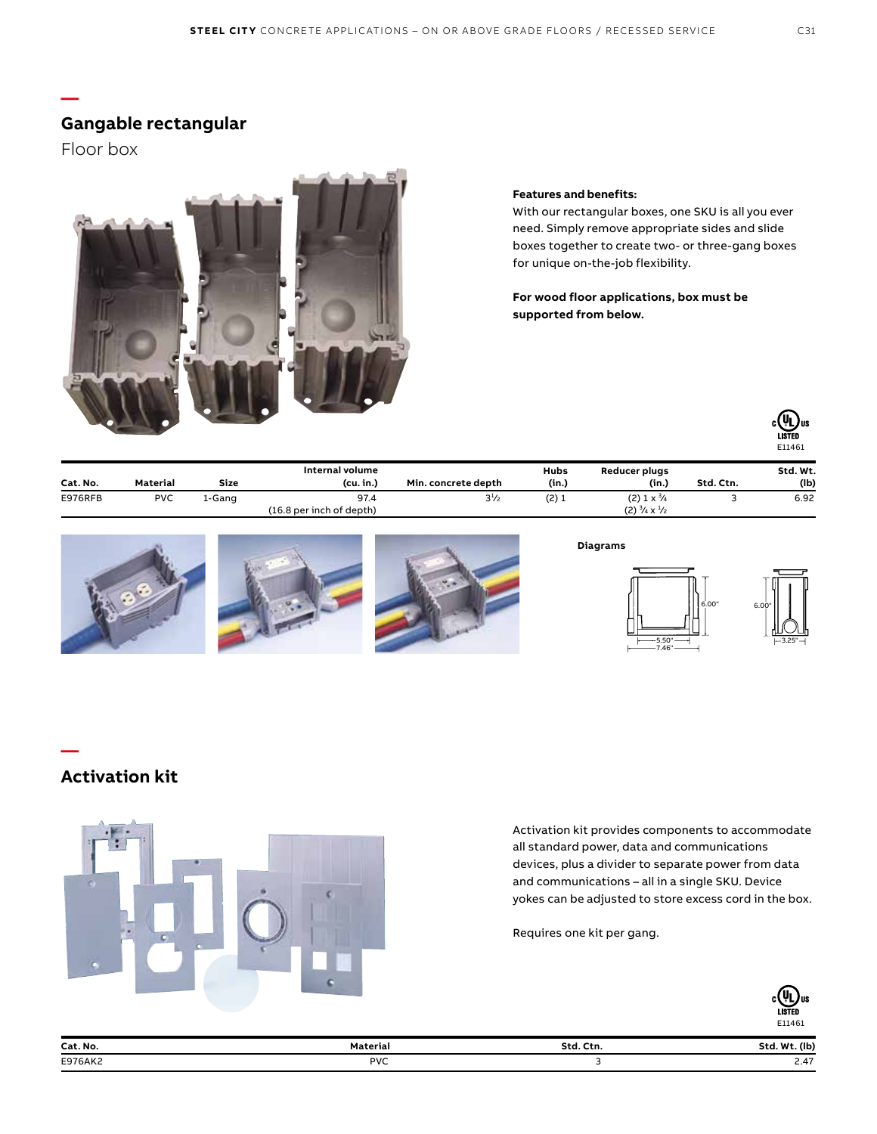### **Gangable rectangular**

Floor box

**—**



### **Features and benefits:**

With our rectangular boxes, one SKU is all you ever need. Simply remove appropriate sides and slide boxes together to create two- or three-gang boxes for unique on-the-job flexibility.

**For wood floor applications, box must be supported from below.**



| Cat. No. | Material   | Size   | Internal volume<br>(cu, in.) | Min. concrete depth | <b>Hubs</b><br>(in.) | Reducer plugs<br>(in.)               | Std. Ctn. | Std. Wt.<br>(Ib) |
|----------|------------|--------|------------------------------|---------------------|----------------------|--------------------------------------|-----------|------------------|
| E976RFB  | <b>PVC</b> | l-Ganq | 97.4                         | $3^{1/2}$           | (2)1                 | $(2)$ 1 x $\frac{3}{4}$              |           | 6.92             |
|          |            |        | (16.8 per inch of depth)     |                     |                      | $(2) \frac{3}{4} \times \frac{1}{2}$ |           |                  |







#### **Diagrams**



## **Activation kit**

**—**



Activation kit provides components to accommodate all standard power, data and communications devices, plus a divider to separate power from data and communications – all in a single SKU. Device yokes can be adjusted to store excess cord in the box.

Requires one kit per gang.



| Cat. No.<br>. | Material<br>. | Ctn.<br>Std<br>- - - - - - - | (Ib)<br><b>M/1</b><br>sta                 |
|---------------|---------------|------------------------------|-------------------------------------------|
| E976AK2       | <b>PVC</b>    | __                           | $\sim$<br>the contract of the contract of |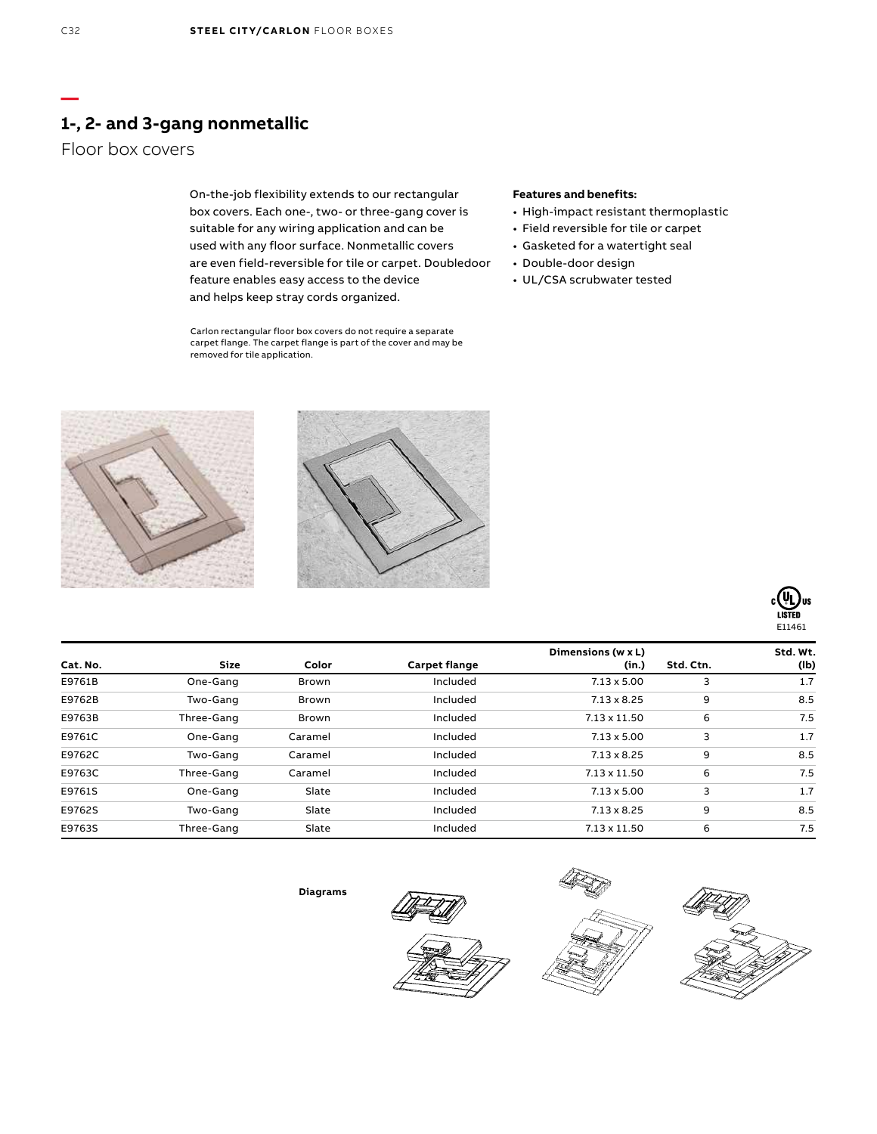# **1-, 2- and 3-gang nonmetallic**

### Floor box covers

On-the-job flexibility extends to our rectangular box covers. Each one-, two- or three-gang cover is suitable for any wiring application and can be used with any floor surface. Nonmetallic covers are even field-reversible for tile or carpet. Doubledoor feature enables easy access to the device and helps keep stray cords organized.

Carlon rectangular floor box covers do not require a separate carpet flange. The carpet flange is part of the cover and may be removed for tile application.

### **Features and benefits:**

- High-impact resistant thermoplastic
- Field reversible for tile or carpet
- Gasketed for a watertight seal
- Double-door design
- UL/CSA scrubwater tested







|          |             |              |               | Dimensions (w x L)  |           | Std. Wt. |
|----------|-------------|--------------|---------------|---------------------|-----------|----------|
| Cat. No. | <b>Size</b> | Color        | Carpet flange | (in.)               | Std. Ctn. | (Ib)     |
| E9761B   | One-Gang    | <b>Brown</b> | Included      | $7.13 \times 5.00$  | 3         | 1.7      |
| E9762B   | Two-Gang    | Brown        | Included      | $7.13 \times 8.25$  | 9         | 8.5      |
| E9763B   | Three-Gang  | Brown        | Included      | $7.13 \times 11.50$ | 6         | 7.5      |
| E9761C   | One-Gang    | Caramel      | Included      | $7.13 \times 5.00$  | 3         | 1.7      |
| E9762C   | Two-Gang    | Caramel      | Included      | $7.13 \times 8.25$  | 9         | 8.5      |
| E9763C   | Three-Gang  | Caramel      | Included      | $7.13 \times 11.50$ | 6         | 7.5      |
| E9761S   | One-Gang    | Slate        | Included      | $7.13 \times 5.00$  | 3         | 1.7      |
| E9762S   | Two-Gang    | Slate        | Included      | $7.13 \times 8.25$  | 9         | 8.5      |
| E9763S   | Three-Gang  | Slate        | Included      | $7.13 \times 11.50$ | 6         | 7.5      |

**Diagrams**







**—**